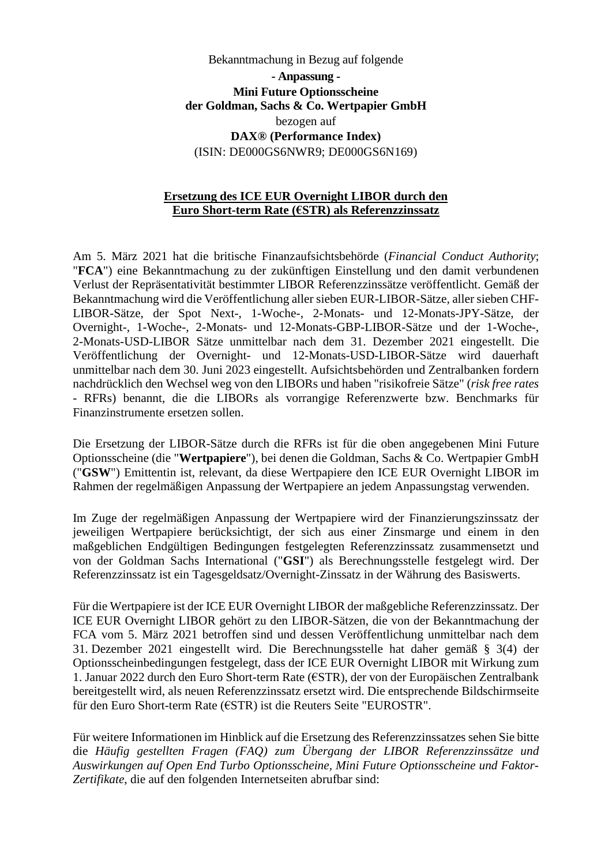## Bekanntmachung in Bezug auf folgende **- Anpassung - Mini Future Optionsscheine der Goldman, Sachs & Co. Wertpapier GmbH**  bezogen auf **DAX® (Performance Index)**  (ISIN: DE000GS6NWR9; DE000GS6N169)

## **Ersetzung des ICE EUR Overnight LIBOR durch den Euro Short-term Rate (€STR) als Referenzzinssatz**

Am 5. März 2021 hat die britische Finanzaufsichtsbehörde (*Financial Conduct Authority*; "**FCA**") eine Bekanntmachung zu der zukünftigen Einstellung und den damit verbundenen Verlust der Repräsentativität bestimmter LIBOR Referenzzinssätze veröffentlicht. Gemäß der Bekanntmachung wird die Veröffentlichung aller sieben EUR-LIBOR-Sätze, aller sieben CHF-LIBOR-Sätze, der Spot Next-, 1-Woche-, 2-Monats- und 12-Monats-JPY-Sätze, der Overnight-, 1-Woche-, 2-Monats- und 12-Monats-GBP-LIBOR-Sätze und der 1-Woche-, 2-Monats-USD-LIBOR Sätze unmittelbar nach dem 31. Dezember 2021 eingestellt. Die Veröffentlichung der Overnight- und 12-Monats-USD-LIBOR-Sätze wird dauerhaft unmittelbar nach dem 30. Juni 2023 eingestellt. Aufsichtsbehörden und Zentralbanken fordern nachdrücklich den Wechsel weg von den LIBORs und haben "risikofreie Sätze" (*risk free rates* - RFRs) benannt, die die LIBORs als vorrangige Referenzwerte bzw. Benchmarks für Finanzinstrumente ersetzen sollen.

Die Ersetzung der LIBOR-Sätze durch die RFRs ist für die oben angegebenen Mini Future Optionsscheine (die "**Wertpapiere**"), bei denen die Goldman, Sachs & Co. Wertpapier GmbH ("**GSW**") Emittentin ist, relevant, da diese Wertpapiere den ICE EUR Overnight LIBOR im Rahmen der regelmäßigen Anpassung der Wertpapiere an jedem Anpassungstag verwenden.

Im Zuge der regelmäßigen Anpassung der Wertpapiere wird der Finanzierungszinssatz der jeweiligen Wertpapiere berücksichtigt, der sich aus einer Zinsmarge und einem in den maßgeblichen Endgültigen Bedingungen festgelegten Referenzzinssatz zusammensetzt und von der Goldman Sachs International ("**GSI**") als Berechnungsstelle festgelegt wird. Der Referenzzinssatz ist ein Tagesgeldsatz/Overnight-Zinssatz in der Währung des Basiswerts.

Für die Wertpapiere ist der ICE EUR Overnight LIBOR der maßgebliche Referenzzinssatz. Der ICE EUR Overnight LIBOR gehört zu den LIBOR-Sätzen, die von der Bekanntmachung der FCA vom 5. März 2021 betroffen sind und dessen Veröffentlichung unmittelbar nach dem 31. Dezember 2021 eingestellt wird. Die Berechnungsstelle hat daher gemäß § 3(4) der Optionsscheinbedingungen festgelegt, dass der ICE EUR Overnight LIBOR mit Wirkung zum 1. Januar 2022 durch den Euro Short-term Rate (€STR), der von der Europäischen Zentralbank bereitgestellt wird, als neuen Referenzzinssatz ersetzt wird. Die entsprechende Bildschirmseite für den Euro Short-term Rate (€STR) ist die Reuters Seite "EUROSTR".

Für weitere Informationen im Hinblick auf die Ersetzung des Referenzzinssatzes sehen Sie bitte die *Häufig gestellten Fragen (FAQ) zum Übergang der LIBOR Referenzzinssätze und Auswirkungen auf Open End Turbo Optionsscheine, Mini Future Optionsscheine und Faktor-Zertifikate*, die auf den folgenden Internetseiten abrufbar sind: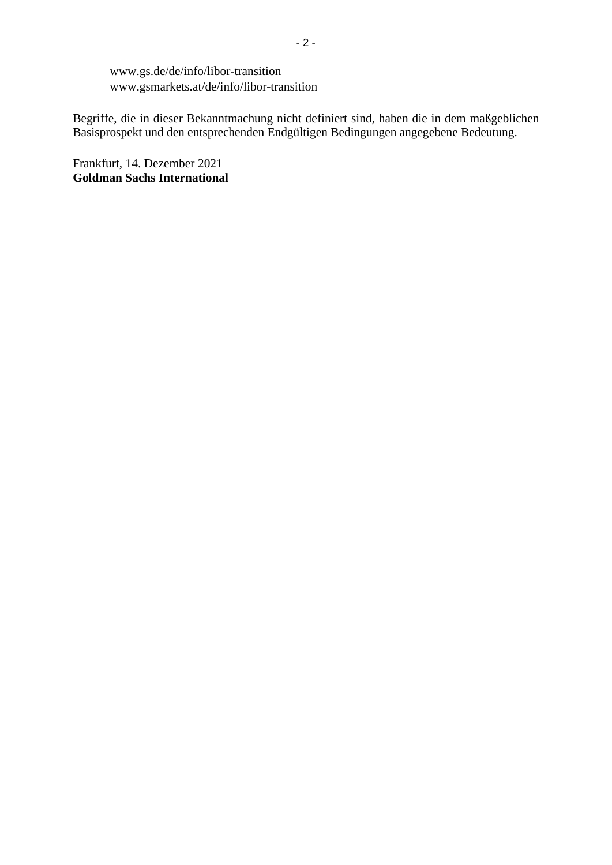www.gs.de/de/info/libor-transition www.gsmarkets.at/de/info/libor-transition

Begriffe, die in dieser Bekanntmachung nicht definiert sind, haben die in dem maßgeblichen Basisprospekt und den entsprechenden Endgültigen Bedingungen angegebene Bedeutung.

Frankfurt, 14. Dezember 2021 **Goldman Sachs International**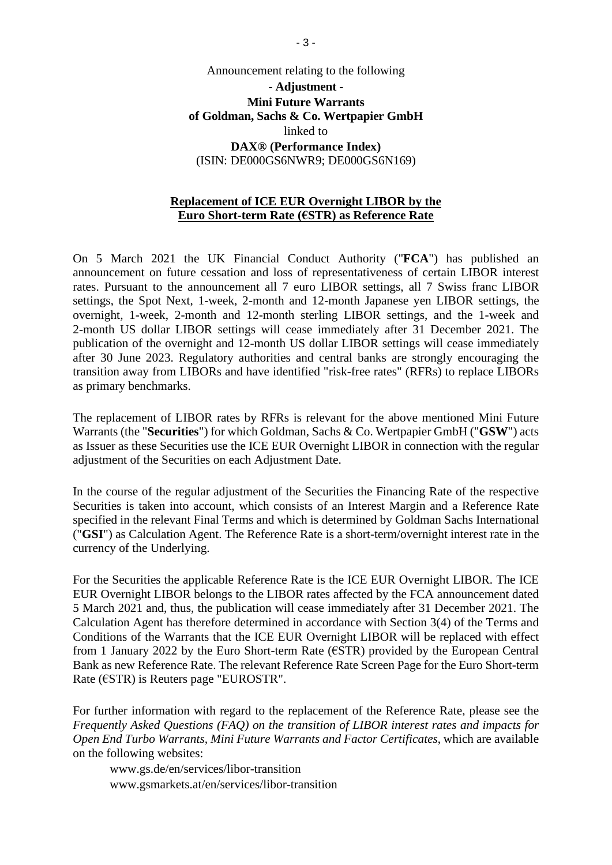## Announcement relating to the following **- Adjustment - Mini Future Warrants of Goldman, Sachs & Co. Wertpapier GmbH**  linked to **DAX® (Performance Index)**  (ISIN: DE000GS6NWR9; DE000GS6N169)

## **Replacement of ICE EUR Overnight LIBOR by the Euro Short-term Rate (€STR) as Reference Rate**

On 5 March 2021 the UK Financial Conduct Authority ("**FCA**") has published an [announcement on future cessation and loss of representativeness of certain LIBOR interest](https://www.fca.org.uk/publication/documents/future-cessation-loss-representativeness-libor-benchmarks.pdf)  [rates. Pursuant to the announcement all 7 euro LIBOR settings, all 7 Swiss franc LIBOR](https://www.fca.org.uk/publication/documents/future-cessation-loss-representativeness-libor-benchmarks.pdf)  settings, the Spot Next, 1-week, 2-month and 12-month Japanese yen LIBOR settings, the overnight, 1-week, 2-month and 12-month sterling LIBOR settings, and the 1-week and 2-month US dollar LIBOR settings will cease immediately after 31 December 2021. The publication of the overnight and 12-month US dollar LIBOR settings will cease immediately after 30 June 2023. Regulatory authorities and central banks are strongly encouraging the transition away from LIBORs and have identified "risk-free rates" (RFRs) to replace LIBORs as primary benchmarks.

The replacement of LIBOR rates by RFRs is relevant for the above mentioned Mini Future Warrants (the "**Securities**") for which Goldman, Sachs & Co. Wertpapier GmbH ("**GSW**") acts as Issuer as these Securities use the ICE EUR Overnight LIBOR in connection with the regular adjustment of the Securities on each Adjustment Date.

In the course of the regular adjustment of the Securities the Financing Rate of the respective Securities is taken into account, which consists of an Interest Margin and a Reference Rate specified in the relevant Final Terms and which is determined by Goldman Sachs International ("**GSI**") as Calculation Agent. The Reference Rate is a short-term/overnight interest rate in the currency of the Underlying.

For the Securities the applicable Reference Rate is the ICE EUR Overnight LIBOR. The ICE EUR Overnight LIBOR belongs to the LIBOR rates affected by the FCA announcement dated 5 March 2021 and, thus, the publication will cease immediately after 31 December 2021. The Calculation Agent has therefore determined in accordance with Section 3(4) of the Terms and Conditions of the Warrants that the ICE EUR Overnight LIBOR will be replaced with effect from 1 January 2022 by the Euro Short-term Rate (€STR) provided by the European Central Bank as new Reference Rate. The relevant Reference Rate Screen Page for the Euro Short-term Rate ( $\epsilon$ STR) is Reuters page "EUROSTR".

For further information with regard to the replacement of the Reference Rate, please see the *Frequently Asked Questions (FAQ) on the transition of LIBOR interest rates and impacts for Open End Turbo Warrants, Mini Future Warrants and Factor Certificates*, which are available on the following websites:

www.gs.de/en/services/libor-transition www.gsmarkets.at/en/services/libor-transition